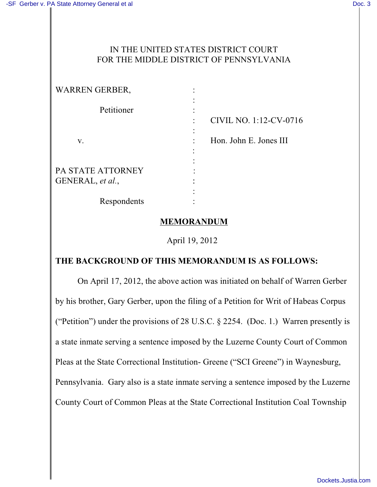## IN THE UNITED STATES DISTRICT COURT FOR THE MIDDLE DISTRICT OF PENNSYLVANIA

| <b>WARREN GERBER,</b> |                        |
|-----------------------|------------------------|
| Petitioner            |                        |
|                       | CIVIL NO. 1:12-CV-0716 |
| V.                    | Hon. John E. Jones III |
|                       |                        |
| PA STATE ATTORNEY     |                        |
| GENERAL, et al.,      |                        |
|                       |                        |
| Respondents           |                        |

## **MEMORANDUM**

April 19, 2012

## **THE BACKGROUND OF THIS MEMORANDUM IS AS FOLLOWS:**

On April 17, 2012, the above action was initiated on behalf of Warren Gerber by his brother, Gary Gerber, upon the filing of a Petition for Writ of Habeas Corpus ("Petition") under the provisions of 28 U.S.C. § 2254. (Doc. 1.) Warren presently is a state inmate serving a sentence imposed by the Luzerne County Court of Common Pleas at the State Correctional Institution- Greene ("SCI Greene") in Waynesburg, Pennsylvania. Gary also is a state inmate serving a sentence imposed by the Luzerne County Court of Common Pleas at the State Correctional Institution Coal Township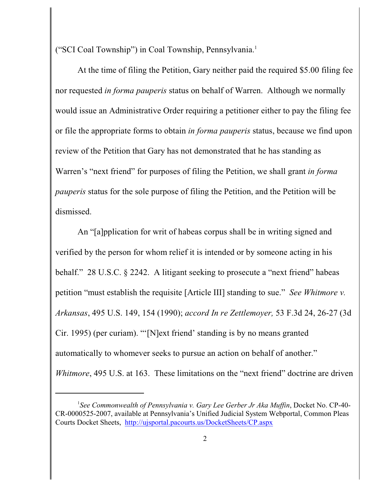("SCI Coal Township") in Coal Township, Pennsylvania. 1

At the time of filing the Petition, Gary neither paid the required \$5.00 filing fee nor requested *in forma pauperis* status on behalf of Warren. Although we normally would issue an Administrative Order requiring a petitioner either to pay the filing fee or file the appropriate forms to obtain *in forma pauperis* status, because we find upon review of the Petition that Gary has not demonstrated that he has standing as Warren's "next friend" for purposes of filing the Petition, we shall grant *in forma pauperis* status for the sole purpose of filing the Petition, and the Petition will be dismissed.

An "[a]pplication for writ of habeas corpus shall be in writing signed and verified by the person for whom relief it is intended or by someone acting in his behalf." 28 U.S.C. § 2242. A litigant seeking to prosecute a "next friend" habeas petition "must establish the requisite [Article III] standing to sue." *See Whitmore v. Arkansas*, 495 U.S. 149, 154 (1990); *accord In re Zettlemoyer,* 53 F.3d 24, 26-27 (3d Cir. 1995) (per curiam). "'[N]ext friend' standing is by no means granted automatically to whomever seeks to pursue an action on behalf of another." *Whitmore*, 495 U.S. at 163. These limitations on the "next friend" doctrine are driven

*See Commonwealth of Pennsylvania v. Gary Lee Gerber Jr Aka Muffin*, Docket No. CP-40- <sup>1</sup> CR-0000525-2007, available at Pennsylvania's Unified Judicial System Webportal, Common Pleas Courts Docket Sheets, <http://ujsportal.pacourts.us/DocketSheets/CP.aspx>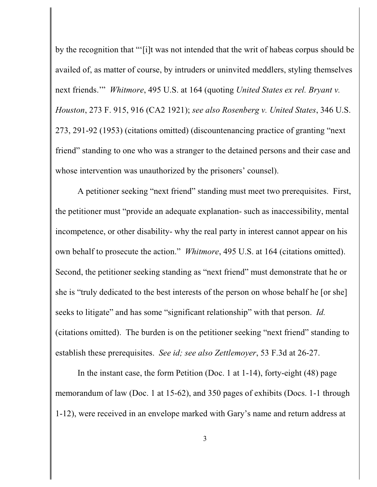by the recognition that "'[i]t was not intended that the writ of habeas corpus should be availed of, as matter of course, by intruders or uninvited meddlers, styling themselves next friends.'" *Whitmore*, 495 U.S. at 164 (quoting *United States ex rel. Bryant v. Houston*, 273 F. 915, 916 (CA2 1921); *see also Rosenberg v. United States*, 346 U.S. 273, 291-92 (1953) (citations omitted) (discountenancing practice of granting "next friend" standing to one who was a stranger to the detained persons and their case and whose intervention was unauthorized by the prisoners' counsel).

A petitioner seeking "next friend" standing must meet two prerequisites. First, the petitioner must "provide an adequate explanation- such as inaccessibility, mental incompetence, or other disability- why the real party in interest cannot appear on his own behalf to prosecute the action." *Whitmore*, 495 U.S. at 164 (citations omitted). Second, the petitioner seeking standing as "next friend" must demonstrate that he or she is "truly dedicated to the best interests of the person on whose behalf he [or she] seeks to litigate" and has some "significant relationship" with that person. *Id.* (citations omitted). The burden is on the petitioner seeking "next friend" standing to establish these prerequisites. *See id; see also Zettlemoyer*, 53 F.3d at 26-27.

In the instant case, the form Petition (Doc. 1 at 1-14), forty-eight (48) page memorandum of law (Doc. 1 at 15-62), and 350 pages of exhibits (Docs. 1-1 through 1-12), were received in an envelope marked with Gary's name and return address at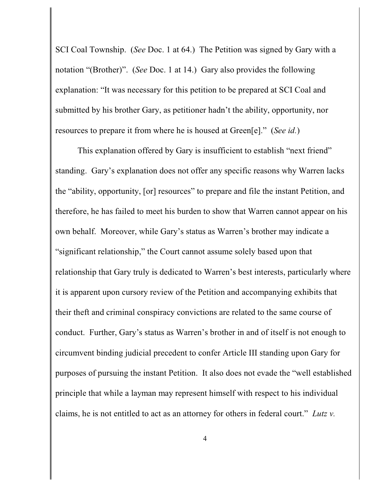SCI Coal Township. (*See* Doc. 1 at 64.) The Petition was signed by Gary with a notation "(Brother)". (*See* Doc. 1 at 14.) Gary also provides the following explanation: "It was necessary for this petition to be prepared at SCI Coal and submitted by his brother Gary, as petitioner hadn't the ability, opportunity, nor resources to prepare it from where he is housed at Green[e]." (*See id.*)

This explanation offered by Gary is insufficient to establish "next friend" standing. Gary's explanation does not offer any specific reasons why Warren lacks the "ability, opportunity, [or] resources" to prepare and file the instant Petition, and therefore, he has failed to meet his burden to show that Warren cannot appear on his own behalf. Moreover, while Gary's status as Warren's brother may indicate a "significant relationship," the Court cannot assume solely based upon that relationship that Gary truly is dedicated to Warren's best interests, particularly where it is apparent upon cursory review of the Petition and accompanying exhibits that their theft and criminal conspiracy convictions are related to the same course of conduct. Further, Gary's status as Warren's brother in and of itself is not enough to circumvent binding judicial precedent to confer Article III standing upon Gary for purposes of pursuing the instant Petition. It also does not evade the "well established principle that while a layman may represent himself with respect to his individual claims, he is not entitled to act as an attorney for others in federal court." *Lutz v.*